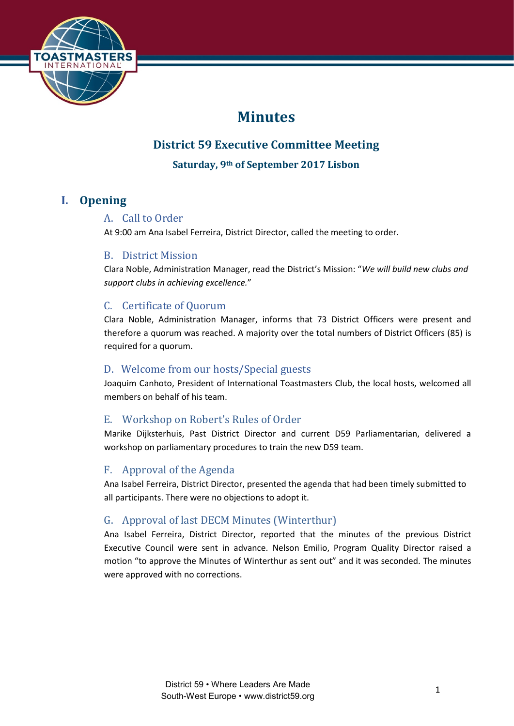

# **Minutes**

# **District 59 Executive Committee Meeting**

**Saturday, 9th of September 2017 Lisbon**

# **I. Opening**

# A. Call to Order

At 9:00 am Ana Isabel Ferreira, District Director, called the meeting to order.

# B. District Mission

Clara Noble, Administration Manager, read the District's Mission: "*We will build new clubs and support clubs in achieving excellence.*"

# C. Certificate of Quorum

Clara Noble, Administration Manager, informs that 73 District Officers were present and therefore a quorum was reached. A majority over the total numbers of District Officers (85) is required for a quorum.

# D. Welcome from our hosts/Special guests

Joaquim Canhoto, President of International Toastmasters Club, the local hosts, welcomed all members on behalf of his team.

# E. Workshop on Robert's Rules of Order

Marike Dijksterhuis, Past District Director and current D59 Parliamentarian, delivered a workshop on parliamentary procedures to train the new D59 team.

# F. Approval of the Agenda

Ana Isabel Ferreira, District Director, presented the agenda that had been timely submitted to all participants. There were no objections to adopt it.

# G. Approval of last DECM Minutes (Winterthur)

Ana Isabel Ferreira, District Director, reported that the minutes of the previous District Executive Council were sent in advance. Nelson Emilio, Program Quality Director raised a motion "to approve the Minutes of Winterthur as sent out" and it was seconded. The minutes were approved with no corrections.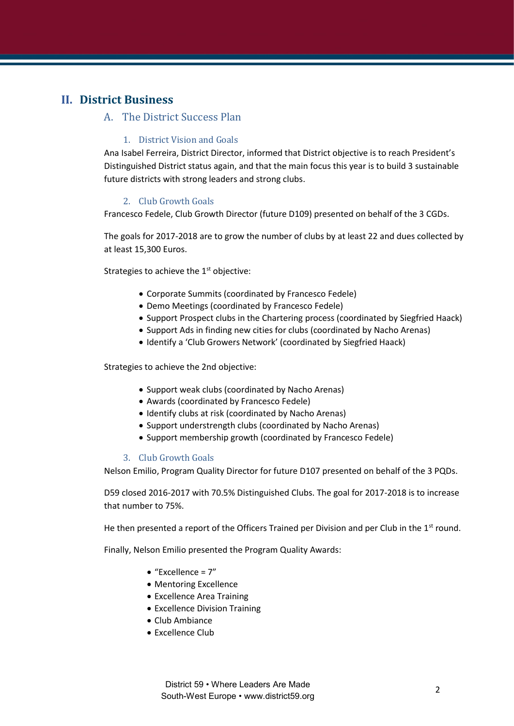# **II. District Business**

### A. The District Success Plan

#### 1. District Vision and Goals

Ana Isabel Ferreira, District Director, informed that District objective is to reach President's Distinguished District status again, and that the main focus this year is to build 3 sustainable future districts with strong leaders and strong clubs.

#### 2. Club Growth Goals

Francesco Fedele, Club Growth Director (future D109) presented on behalf of the 3 CGDs.

The goals for 2017-2018 are to grow the number of clubs by at least 22 and dues collected by at least 15,300 Euros.

Strategies to achieve the 1<sup>st</sup> objective:

- Corporate Summits (coordinated by Francesco Fedele)
- Demo Meetings (coordinated by Francesco Fedele)
- Support Prospect clubs in the Chartering process (coordinated by Siegfried Haack)
- Support Ads in finding new cities for clubs (coordinated by Nacho Arenas)
- Identify a 'Club Growers Network' (coordinated by Siegfried Haack)

Strategies to achieve the 2nd objective:

- Support weak clubs (coordinated by Nacho Arenas)
- Awards (coordinated by Francesco Fedele)
- Identify clubs at risk (coordinated by Nacho Arenas)
- Support understrength clubs (coordinated by Nacho Arenas)
- Support membership growth (coordinated by Francesco Fedele)

#### 3. Club Growth Goals

Nelson Emilio, Program Quality Director for future D107 presented on behalf of the 3 PQDs.

D59 closed 2016-2017 with 70.5% Distinguished Clubs. The goal for 2017-2018 is to increase that number to 75%.

He then presented a report of the Officers Trained per Division and per Club in the  $1<sup>st</sup>$  round.

Finally, Nelson Emilio presented the Program Quality Awards:

- $\bullet$  "Excellence = 7"
- Mentoring Excellence
- Excellence Area Training
- Excellence Division Training
- Club Ambiance
- Excellence Club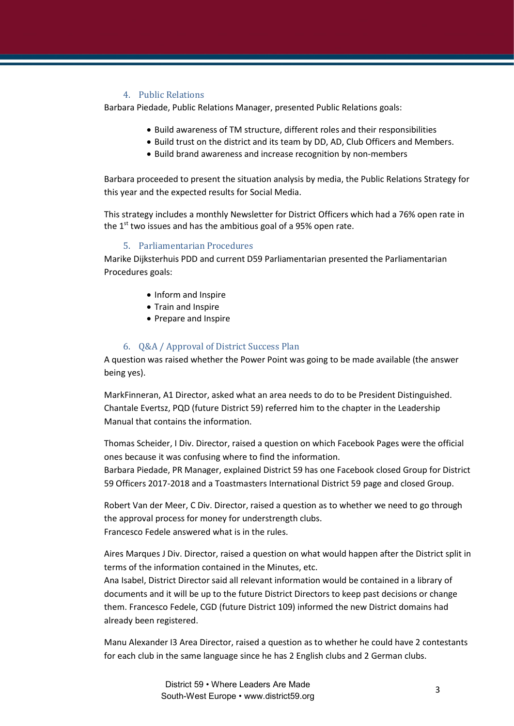#### 4. Public Relations

Barbara Piedade, Public Relations Manager, presented Public Relations goals:

- Build awareness of TM structure, different roles and their responsibilities
- Build trust on the district and its team by DD, AD, Club Officers and Members.
- Build brand awareness and increase recognition by non-members

Barbara proceeded to present the situation analysis by media, the Public Relations Strategy for this year and the expected results for Social Media.

This strategy includes a monthly Newsletter for District Officers which had a 76% open rate in the  $1<sup>st</sup>$  two issues and has the ambitious goal of a 95% open rate.

#### 5. Parliamentarian Procedures

Marike Dijksterhuis PDD and current D59 Parliamentarian presented the Parliamentarian Procedures goals:

- Inform and Inspire
- Train and Inspire
- Prepare and Inspire

#### 6. Q&A / Approval of District Success Plan

A question was raised whether the Power Point was going to be made available (the answer being yes).

MarkFinneran, A1 Director, asked what an area needs to do to be President Distinguished. Chantale Evertsz, PQD (future District 59) referred him to the chapter in the Leadership Manual that contains the information.

Thomas Scheider, I Div. Director, raised a question on which Facebook Pages were the official ones because it was confusing where to find the information.

Barbara Piedade, PR Manager, explained District 59 has one Facebook closed Group for District 59 Officers 2017-2018 and a Toastmasters International District 59 page and closed Group.

Robert Van der Meer, C Div. Director, raised a question as to whether we need to go through the approval process for money for understrength clubs. Francesco Fedele answered what is in the rules.

Aires Marques J Div. Director, raised a question on what would happen after the District split in terms of the information contained in the Minutes, etc.

Ana Isabel, District Director said all relevant information would be contained in a library of documents and it will be up to the future District Directors to keep past decisions or change them. Francesco Fedele, CGD (future District 109) informed the new District domains had already been registered.

Manu Alexander I3 Area Director, raised a question as to whether he could have 2 contestants for each club in the same language since he has 2 English clubs and 2 German clubs.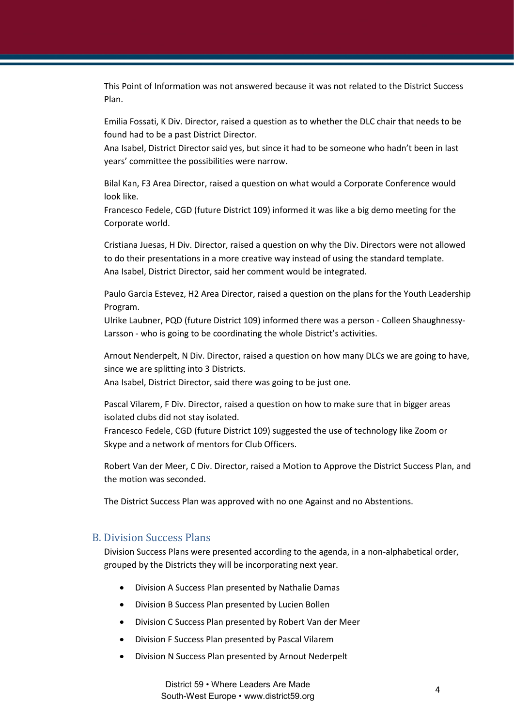This Point of Information was not answered because it was not related to the District Success Plan.

Emilia Fossati, K Div. Director, raised a question as to whether the DLC chair that needs to be found had to be a past District Director.

Ana Isabel, District Director said yes, but since it had to be someone who hadn't been in last years' committee the possibilities were narrow.

Bilal Kan, F3 Area Director, raised a question on what would a Corporate Conference would look like.

Francesco Fedele, CGD (future District 109) informed it was like a big demo meeting for the Corporate world.

Cristiana Juesas, H Div. Director, raised a question on why the Div. Directors were not allowed to do their presentations in a more creative way instead of using the standard template. Ana Isabel, District Director, said her comment would be integrated.

Paulo Garcia Estevez, H2 Area Director, raised a question on the plans for the Youth Leadership Program.

Ulrike Laubner, PQD (future District 109) informed there was a person - Colleen Shaughnessy-Larsson - who is going to be coordinating the whole District's activities.

Arnout Nenderpelt, N Div. Director, raised a question on how many DLCs we are going to have, since we are splitting into 3 Districts.

Ana Isabel, District Director, said there was going to be just one.

Pascal Vilarem, F Div. Director, raised a question on how to make sure that in bigger areas isolated clubs did not stay isolated.

Francesco Fedele, CGD (future District 109) suggested the use of technology like Zoom or Skype and a network of mentors for Club Officers.

Robert Van der Meer, C Div. Director, raised a Motion to Approve the District Success Plan, and the motion was seconded.

The District Success Plan was approved with no one Against and no Abstentions.

#### B. Division Success Plans

Division Success Plans were presented according to the agenda, in a non-alphabetical order, grouped by the Districts they will be incorporating next year.

- Division A Success Plan presented by Nathalie Damas
- Division B Success Plan presented by Lucien Bollen
- Division C Success Plan presented by Robert Van der Meer
- Division F Success Plan presented by Pascal Vilarem
- Division N Success Plan presented by Arnout Nederpelt

District 59 • Where Leaders Are Made South-West Europe • www.district59.org <sup>4</sup>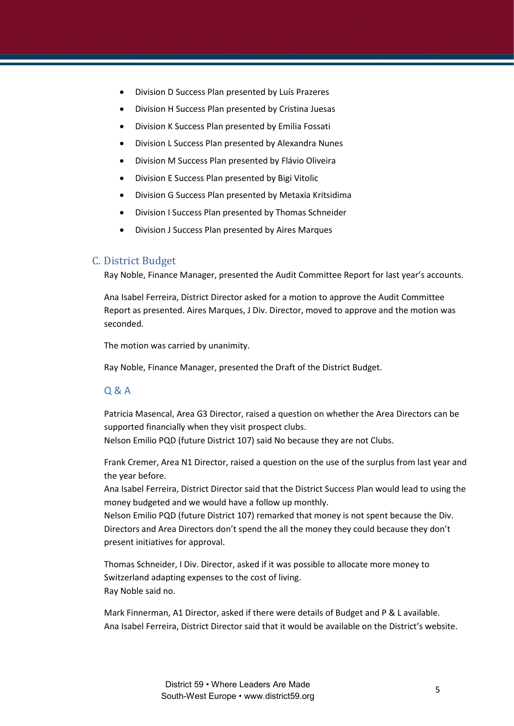- Division D Success Plan presented by Luís Prazeres
- Division H Success Plan presented by Cristina Juesas
- Division K Success Plan presented by Emilia Fossati
- Division L Success Plan presented by Alexandra Nunes
- Division M Success Plan presented by Flávio Oliveira
- Division E Success Plan presented by Bigi Vitolic
- Division G Success Plan presented by Metaxia Kritsidima
- Division I Success Plan presented by Thomas Schneider
- Division J Success Plan presented by Aires Marques

#### C. District Budget

Ray Noble, Finance Manager, presented the Audit Committee Report for last year's accounts.

Ana Isabel Ferreira, District Director asked for a motion to approve the Audit Committee Report as presented. Aires Marques, J Div. Director, moved to approve and the motion was seconded.

The motion was carried by unanimity.

Ray Noble, Finance Manager, presented the Draft of the District Budget.

### Q & A

Patricia Masencal, Area G3 Director, raised a question on whether the Area Directors can be supported financially when they visit prospect clubs. Nelson Emilio PQD (future District 107) said No because they are not Clubs.

Frank Cremer, Area N1 Director, raised a question on the use of the surplus from last year and the year before.

Ana Isabel Ferreira, District Director said that the District Success Plan would lead to using the money budgeted and we would have a follow up monthly.

Nelson Emilio PQD (future District 107) remarked that money is not spent because the Div. Directors and Area Directors don't spend the all the money they could because they don't present initiatives for approval.

Thomas Schneider, I Div. Director, asked if it was possible to allocate more money to Switzerland adapting expenses to the cost of living. Ray Noble said no.

Mark Finnerman, A1 Director, asked if there were details of Budget and P & L available. Ana Isabel Ferreira, District Director said that it would be available on the District's website.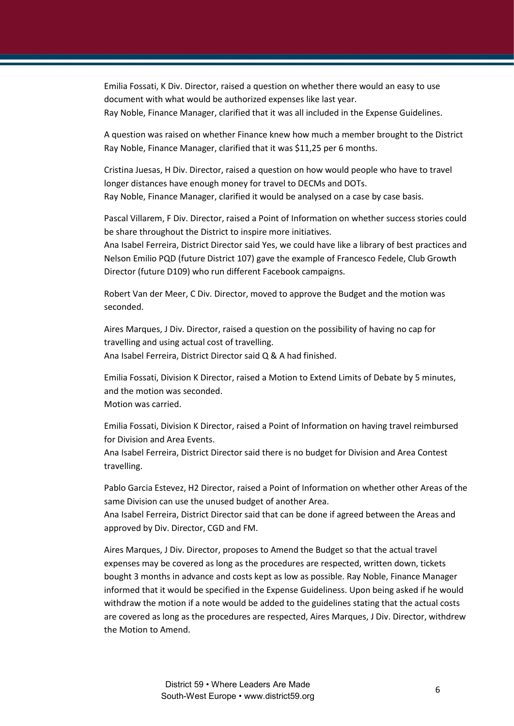Emilia Fossati, K Div. Director, raised a question on whether there would an easy to use document with what would be authorized expenses like last year. Ray Noble, Finance Manager, clarified that it was all included in the Expense Guidelines.

A question was raised on whether Finance knew how much a member brought to the District Ray Noble, Finance Manager, clarified that it was \$11,25 per 6 months.

Cristina Juesas, H Div. Director, raised a question on how would people who have to travel longer distances have enough money for travel to DECMs and DOTs. Ray Noble, Finance Manager, clarified it would be analysed on a case by case basis.

Pascal Villarem, F Div. Director, raised a Point of Information on whether success stories could be share throughout the District to inspire more initiatives.

Ana Isabel Ferreira, District Director said Yes, we could have like a library of best practices and Nelson Emilio PQD (future District 107) gave the example of Francesco Fedele, Club Growth Director (future D109) who run different Facebook campaigns.

Robert Van der Meer, C Div. Director, moved to approve the Budget and the motion was seconded.

Aires Marques, J Div. Director, raised a question on the possibility of having no cap for travelling and using actual cost of travelling. Ana Isabel Ferreira, District Director said Q & A had finished.

Emilia Fossati, Division K Director, raised a Motion to Extend Limits of Debate by 5 minutes, and the motion was seconded. Motion was carried.

Emilia Fossati, Division K Director, raised a Point of Information on having travel reimbursed for Division and Area Events.

Ana Isabel Ferreira, District Director said there is no budget for Division and Area Contest travelling.

Pablo Garcia Estevez, H2 Director, raised a Point of Information on whether other Areas of the same Division can use the unused budget of another Area.

Ana Isabel Ferreira, District Director said that can be done if agreed between the Areas and approved by Div. Director, CGD and FM.

Aires Marques, J Div. Director, proposes to Amend the Budget so that the actual travel expenses may be covered as long as the procedures are respected, written down, tickets bought 3 months in advance and costs kept as low as possible. Ray Noble, Finance Manager informed that it would be specified in the Expense Guideliness. Upon being asked if he would withdraw the motion if a note would be added to the guidelines stating that the actual costs are covered as long as the procedures are respected, Aires Marques, J Div. Director, withdrew the Motion to Amend.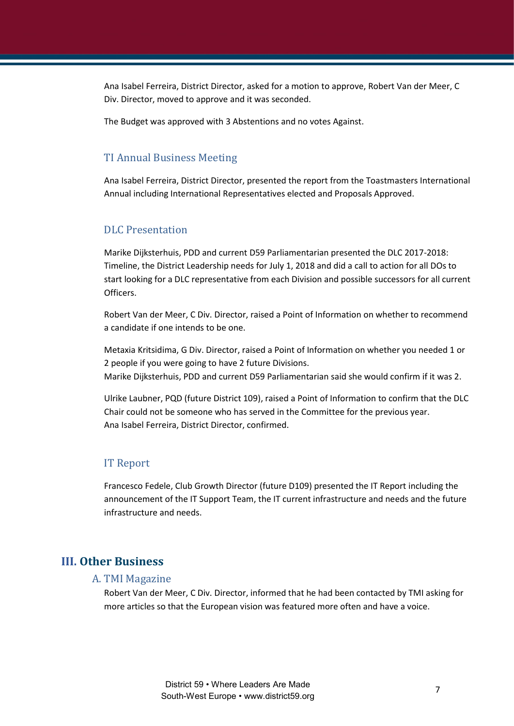Ana Isabel Ferreira, District Director, asked for a motion to approve, Robert Van der Meer, C Div. Director, moved to approve and it was seconded.

The Budget was approved with 3 Abstentions and no votes Against.

## TI Annual Business Meeting

Ana Isabel Ferreira, District Director, presented the report from the Toastmasters International Annual including International Representatives elected and Proposals Approved.

### DLC Presentation

Marike Dijksterhuis, PDD and current D59 Parliamentarian presented the DLC 2017-2018: Timeline, the District Leadership needs for July 1, 2018 and did a call to action for all DOs to start looking for a DLC representative from each Division and possible successors for all current Officers.

Robert Van der Meer, C Div. Director, raised a Point of Information on whether to recommend a candidate if one intends to be one.

Metaxia Kritsidima, G Div. Director, raised a Point of Information on whether you needed 1 or 2 people if you were going to have 2 future Divisions. Marike Dijksterhuis, PDD and current D59 Parliamentarian said she would confirm if it was 2.

Ulrike Laubner, PQD (future District 109), raised a Point of Information to confirm that the DLC Chair could not be someone who has served in the Committee for the previous year. Ana Isabel Ferreira, District Director, confirmed.

### IT Report

Francesco Fedele, Club Growth Director (future D109) presented the IT Report including the announcement of the IT Support Team, the IT current infrastructure and needs and the future infrastructure and needs.

# **III. Other Business**

### A. TMI Magazine

Robert Van der Meer, C Div. Director, informed that he had been contacted by TMI asking for more articles so that the European vision was featured more often and have a voice.